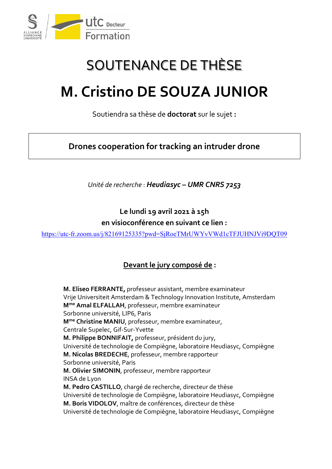

## SOUTENANCE DE THÈSE

## **M. Cristino DE SOUZA JUNIOR**

Soutiendra sa thèse de **doctorat** sur le sujet **:**

**Drones cooperation for tracking an intruder drone**

*Unité de recherche* : *Heudiasyc – UMR CNRS 7253*

**Le lundi 19 avril 2021 à 15h en visioconférence en suivant ce lien :**

<https://utc-fr.zoom.us/j/82169125335?pwd=SjRoeTMrUWYvVWd1cTFJUHNJVi9DQT09>

## **Devant le jury composé de :**

**M. Eliseo FERRANTE,** professeur assistant, membre examinateur Vrije Universiteit Amsterdam & Technology Innovation Institute, Amsterdam **Mme Amal ELFALLAH**, professeur, membre examinateur Sorbonne université, LIP6, Paris **Mme Christine MANIU**, professeur, membre examinateur, Centrale Supelec, Gif-Sur-Yvette **M. Philippe BONNIFAIT,** professeur, président du jury, Université de technologie de Compiègne, laboratoire Heudiasyc, Compiègne **M. Nicolas BREDECHE**, professeur, membre rapporteur Sorbonne université, Paris **M. Olivier SIMONIN**, professeur, membre rapporteur INSA de Lyon **M. Pedro CASTILLO**, chargé de recherche, directeur de thèse Université de technologie de Compiègne, laboratoire Heudiasyc, Compiègne **M. Boris VIDOLOV**, maître de conférences, directeur de thèse Université de technologie de Compiègne, laboratoire Heudiasyc, Compiègne